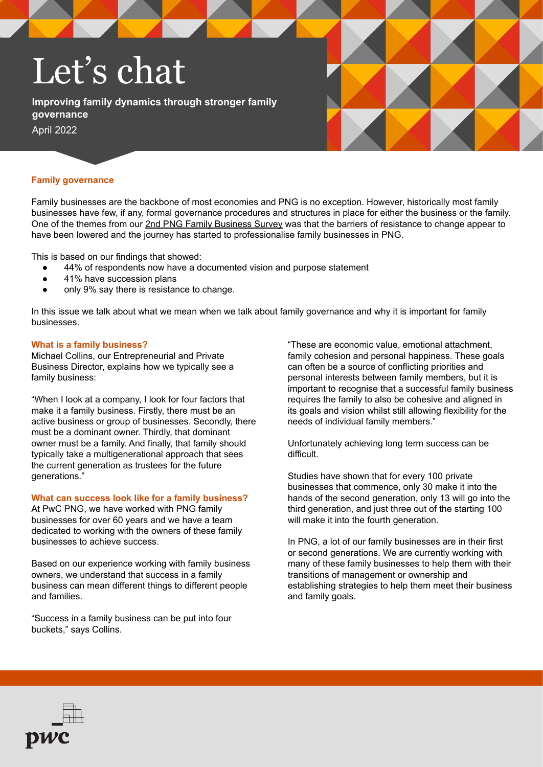# Let's chat

**Improving family dynamics through stronger family governance** April 2022



### **Family governance**

Family businesses are the backbone of most economies and PNG is no exception. However, historically most family businesses have few, if any, formal governance procedures and structures in place for either the business or the family. One of the themes from our [2nd PNG Family Business Survey](https://www.pwc.com/pg/en/publications/family-business-survey/family-business-survey-2021.html) was that the barriers of resistance to change appear to have been lowered and the journey has started to professionalise family businesses in PNG.

This is based on our findings that showed:

- 44% of respondents now have a documented vision and purpose statement
- 41% have succession plans
- only 9% say there is resistance to change.

In this issue we talk about what we mean when we talk about family governance and why it is important for family businesses.

#### **What is a family business?**

Michael Collins, our Entrepreneurial and Private Business Director, explains how we typically see a family business:

"When I look at a company, I look for four factors that make it a family business. Firstly, there must be an active business or group of businesses. Secondly, there must be a dominant owner. Thirdly, that dominant owner must be a family. And finally, that family should typically take a multigenerational approach that sees the current generation as trustees for the future generations."

# **What can success look like for a family business?**

At PwC PNG, we have worked with PNG family businesses for over 60 years and we have a team dedicated to working with the owners of these family businesses to achieve success.

Based on our experience working with family business owners, we understand that success in a family business can mean different things to different people and families.

"Success in a family business can be put into four buckets," says Collins.

"These are economic value, emotional attachment, family cohesion and personal happiness. These goals can often be a source of conflicting priorities and personal interests between family members, but it is important to recognise that a successful family business requires the family to also be cohesive and aligned in its goals and vision whilst still allowing flexibility for the needs of individual family members."

Unfortunately achieving long term success can be difficult.

Studies have shown that for every 100 private businesses that commence, only 30 make it into the hands of the second generation, only 13 will go into the third generation, and just three out of the starting 100 will make it into the fourth generation.

In PNG, a lot of our family businesses are in their first or second generations. We are currently working with many of these family businesses to help them with their transitions of management or ownership and establishing strategies to help them meet their business and family goals.

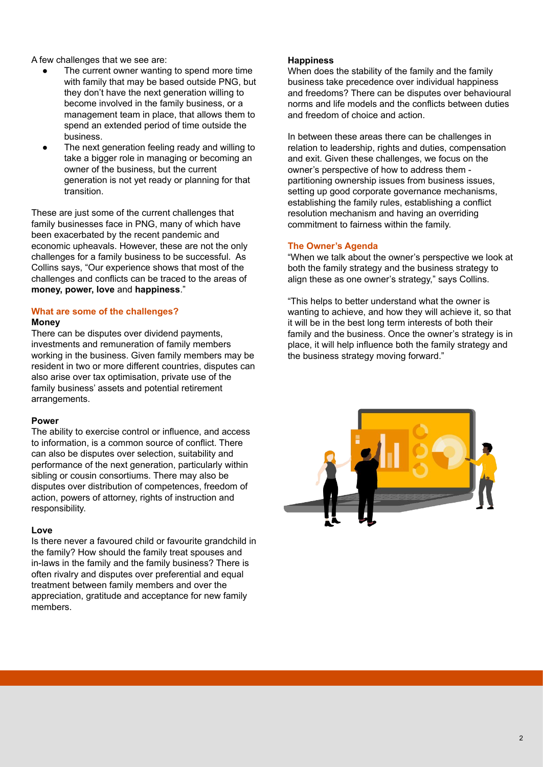A few challenges that we see are:

- The current owner wanting to spend more time with family that may be based outside PNG, but they don't have the next generation willing to become involved in the family business, or a management team in place, that allows them to spend an extended period of time outside the business.
- The next generation feeling ready and willing to take a bigger role in managing or becoming an owner of the business, but the current generation is not yet ready or planning for that transition.

These are just some of the current challenges that family businesses face in PNG, many of which have been exacerbated by the recent pandemic and economic upheavals. However, these are not the only challenges for a family business to be successful. As Collins says, "Our experience shows that most of the challenges and conflicts can be traced to the areas of **money, power, love** and **happiness**."

## **What are some of the challenges?**

#### **Money**

There can be disputes over dividend payments, investments and remuneration of family members working in the business. Given family members may be resident in two or more different countries, disputes can also arise over tax optimisation, private use of the family business' assets and potential retirement arrangements.

#### **Power**

The ability to exercise control or influence, and access to information, is a common source of conflict. There can also be disputes over selection, suitability and performance of the next generation, particularly within sibling or cousin consortiums. There may also be disputes over distribution of competences, freedom of action, powers of attorney, rights of instruction and responsibility.

# **Love**

Is there never a favoured child or favourite grandchild in the family? How should the family treat spouses and in-laws in the family and the family business? There is often rivalry and disputes over preferential and equal treatment between family members and over the appreciation, gratitude and acceptance for new family members.

## **Happiness**

When does the stability of the family and the family business take precedence over individual happiness and freedoms? There can be disputes over behavioural norms and life models and the conflicts between duties and freedom of choice and action.

In between these areas there can be challenges in relation to leadership, rights and duties, compensation and exit. Given these challenges, we focus on the owner's perspective of how to address them partitioning ownership issues from business issues, setting up good corporate governance mechanisms, establishing the family rules, establishing a conflict resolution mechanism and having an overriding commitment to fairness within the family.

# **The Owner's Agenda**

"When we talk about the owner's perspective we look at both the family strategy and the business strategy to align these as one owner's strategy," says Collins.

"This helps to better understand what the owner is wanting to achieve, and how they will achieve it, so that it will be in the best long term interests of both their family and the business. Once the owner's strategy is in place, it will help influence both the family strategy and the business strategy moving forward."

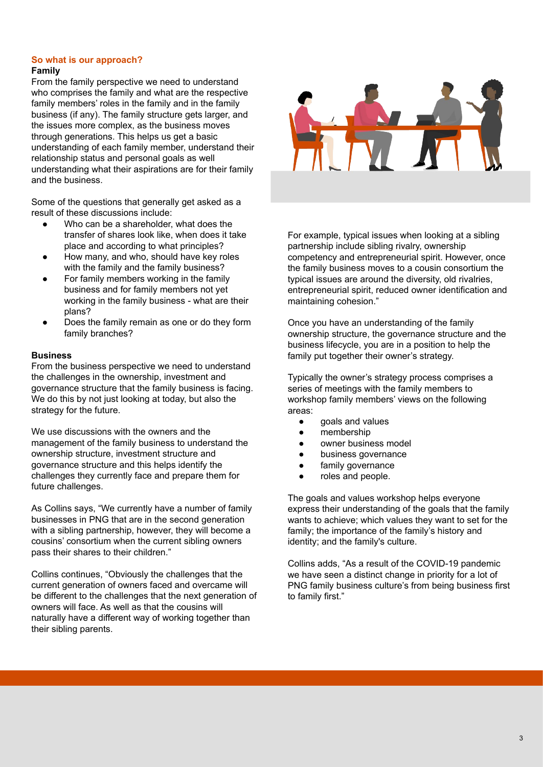### **So what is our approach? Family**

From the family perspective we need to understand who comprises the family and what are the respective family members' roles in the family and in the family business (if any). The family structure gets larger, and the issues more complex, as the business moves through generations. This helps us get a basic understanding of each family member, understand their relationship status and personal goals as well understanding what their aspirations are for their family and the business.

Some of the questions that generally get asked as a result of these discussions include:

- Who can be a shareholder, what does the transfer of shares look like, when does it take place and according to what principles?
- How many, and who, should have key roles with the family and the family business?
- For family members working in the family business and for family members not yet working in the family business - what are their plans?
- Does the family remain as one or do they form family branches?

# **Business**

From the business perspective we need to understand the challenges in the ownership, investment and governance structure that the family business is facing. We do this by not just looking at today, but also the strategy for the future.

We use discussions with the owners and the management of the family business to understand the ownership structure, investment structure and governance structure and this helps identify the challenges they currently face and prepare them for future challenges.

As Collins says, "We currently have a number of family businesses in PNG that are in the second generation with a sibling partnership, however, they will become a cousins' consortium when the current sibling owners pass their shares to their children."

Collins continues, "Obviously the challenges that the current generation of owners faced and overcame will be different to the challenges that the next generation of owners will face. As well as that the cousins will naturally have a different way of working together than their sibling parents.



For example, typical issues when looking at a sibling partnership include sibling rivalry, ownership competency and entrepreneurial spirit. However, once the family business moves to a cousin consortium the typical issues are around the diversity, old rivalries, entrepreneurial spirit, reduced owner identification and maintaining cohesion."

Once you have an understanding of the family ownership structure, the governance structure and the business lifecycle, you are in a position to help the family put together their owner's strategy.

Typically the owner's strategy process comprises a series of meetings with the family members to workshop family members' views on the following areas:

- goals and values
- membership
- owner business model
- business governance
- family governance
- roles and people.

The goals and values workshop helps everyone express their understanding of the goals that the family wants to achieve; which values they want to set for the family; the importance of the family's history and identity; and the family's culture.

Collins adds, "As a result of the COVID-19 pandemic we have seen a distinct change in priority for a lot of PNG family business culture's from being business first to family first."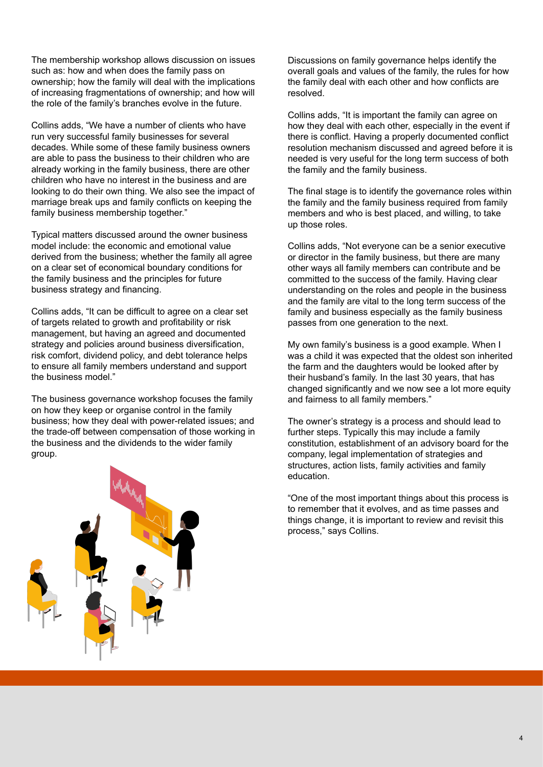The membership workshop allows discussion on issues such as: how and when does the family pass on ownership; how the family will deal with the implications of increasing fragmentations of ownership; and how will the role of the family's branches evolve in the future.

Collins adds, "We have a number of clients who have run very successful family businesses for several decades. While some of these family business owners are able to pass the business to their children who are already working in the family business, there are other children who have no interest in the business and are looking to do their own thing. We also see the impact of marriage break ups and family conflicts on keeping the family business membership together."

Typical matters discussed around the owner business model include: the economic and emotional value derived from the business; whether the family all agree on a clear set of economical boundary conditions for the family business and the principles for future business strategy and financing.

Collins adds, "It can be difficult to agree on a clear set of targets related to growth and profitability or risk management, but having an agreed and documented strategy and policies around business diversification, risk comfort, dividend policy, and debt tolerance helps to ensure all family members understand and support the business model."

The business governance workshop focuses the family on how they keep or organise control in the family business; how they deal with power-related issues; and the trade-off between compensation of those working in the business and the dividends to the wider family group.



Discussions on family governance helps identify the overall goals and values of the family, the rules for how the family deal with each other and how conflicts are resolved.

Collins adds, "It is important the family can agree on how they deal with each other, especially in the event if there is conflict. Having a properly documented conflict resolution mechanism discussed and agreed before it is needed is very useful for the long term success of both the family and the family business.

The final stage is to identify the governance roles within the family and the family business required from family members and who is best placed, and willing, to take up those roles.

Collins adds, "Not everyone can be a senior executive or director in the family business, but there are many other ways all family members can contribute and be committed to the success of the family. Having clear understanding on the roles and people in the business and the family are vital to the long term success of the family and business especially as the family business passes from one generation to the next.

My own family's business is a good example. When I was a child it was expected that the oldest son inherited the farm and the daughters would be looked after by their husband's family. In the last 30 years, that has changed significantly and we now see a lot more equity and fairness to all family members."

The owner's strategy is a process and should lead to further steps. Typically this may include a family constitution, establishment of an advisory board for the company, legal implementation of strategies and structures, action lists, family activities and family education.

"One of the most important things about this process is to remember that it evolves, and as time passes and things change, it is important to review and revisit this process," says Collins.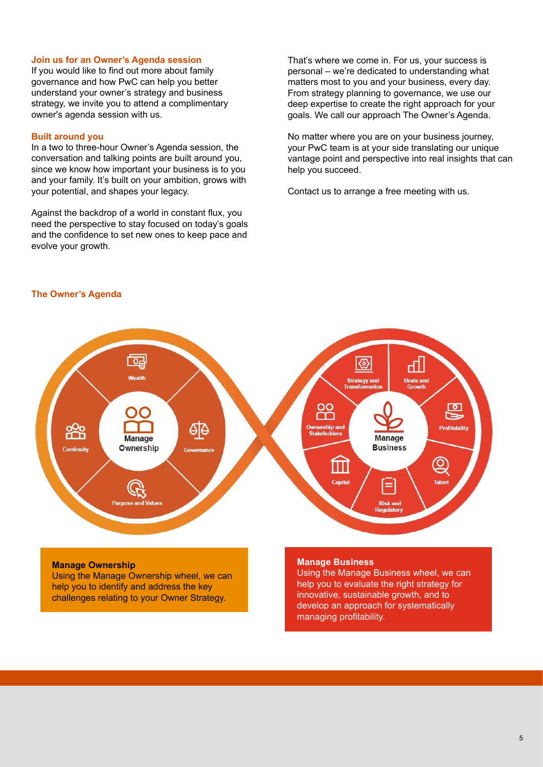#### **Join us for an Owner's Agenda session**

If you would like to find out more about family governance and how PwC can help you better understand your owner's strategy and business strategy, we invite you to attend a complimentary owner's agenda session with us.

#### **Built around you**

In a two to three-hour Owner's Agenda session, the conversation and talking points are built around you, since we know how important your business is to you and your family. It's built on your ambition, grows with your potential, and shapes your legacy.

Against the backdrop of a world in constant flux, you need the perspective to stay focused on today's goals and the confidence to set new ones to keep pace and evolve your growth.

That's where we come in. For us, your success is personal – we're dedicated to understanding what matters most to you and your business, every day. From strategy planning to governance, we use our deep expertise to create the right approach for your goals. We call our approach The Owner's Agenda.

No matter where you are on your business journey, your PwC team is at your side translating our unique vantage point and perspective into real insights that can help you succeed.

Contact us to arrange a free meeting with us.

#### **The Owner's Agenda**



#### **Manage Ownership**

Using the Manage Ownership wheel, we can help you to identify and address the key challenges relating to your Owner Strategy.

#### **Manage Business**

Using the Manage Business wheel, we can help you to evaluate the right strategy for innovative, sustainable growth, and to develop an approach for systematically managing profitability.